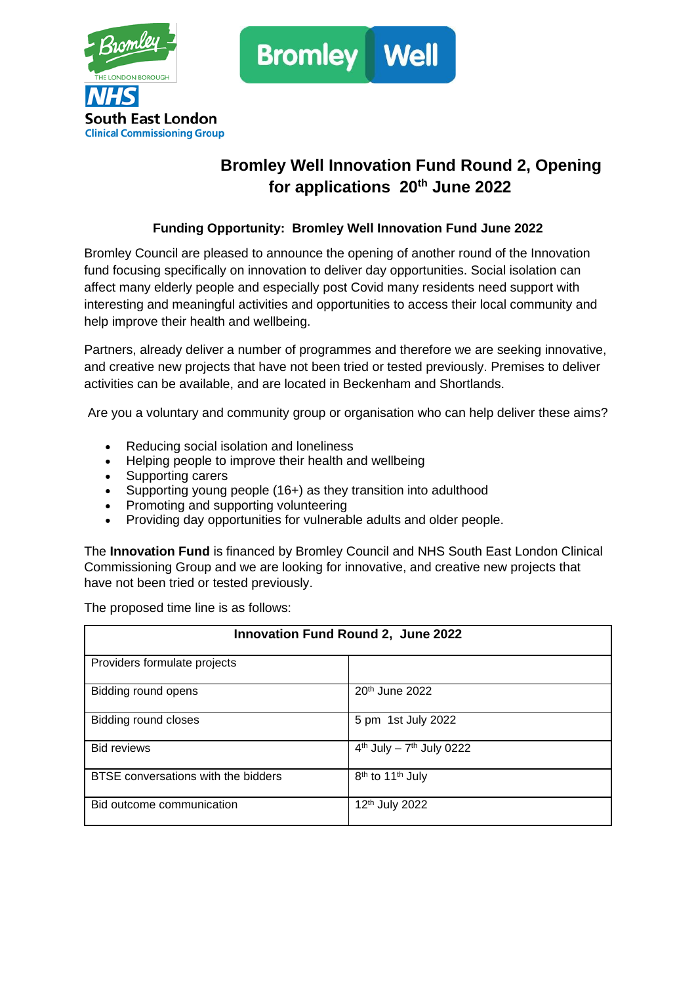



## **Bromley Well Innovation Fund Round 2, Opening for applications 20th June 2022**

## **Funding Opportunity: Bromley Well Innovation Fund June 2022**

Bromley Council are pleased to announce the opening of another round of the Innovation fund focusing specifically on innovation to deliver day opportunities. Social isolation can affect many elderly people and especially post Covid many residents need support with interesting and meaningful activities and opportunities to access their local community and help improve their health and wellbeing.

Partners, already deliver a number of programmes and therefore we are seeking innovative, and creative new projects that have not been tried or tested previously. Premises to deliver activities can be available, and are located in Beckenham and Shortlands.

Are you a voluntary and community group or organisation who can help deliver these aims?

- Reducing social isolation and loneliness
- Helping people to improve their health and wellbeing
- Supporting carers
- Supporting young people (16+) as they transition into adulthood
- Promoting and supporting volunteering
- Providing day opportunities for vulnerable adults and older people.

The **Innovation Fund** is financed by Bromley Council and NHS South East London Clinical Commissioning Group and we are looking for innovative, and creative new projects that have not been tried or tested previously.

The proposed time line is as follows:

| Innovation Fund Round 2, June 2022  |                                          |
|-------------------------------------|------------------------------------------|
| Providers formulate projects        |                                          |
| Bidding round opens                 | 20 <sup>th</sup> June 2022               |
| Bidding round closes                | 5 pm 1st July 2022                       |
| <b>Bid reviews</b>                  | $4th$ July - $7th$ July 0222             |
| BTSE conversations with the bidders | 8 <sup>th</sup> to 11 <sup>th</sup> July |
| Bid outcome communication           | 12 <sup>th</sup> July 2022               |